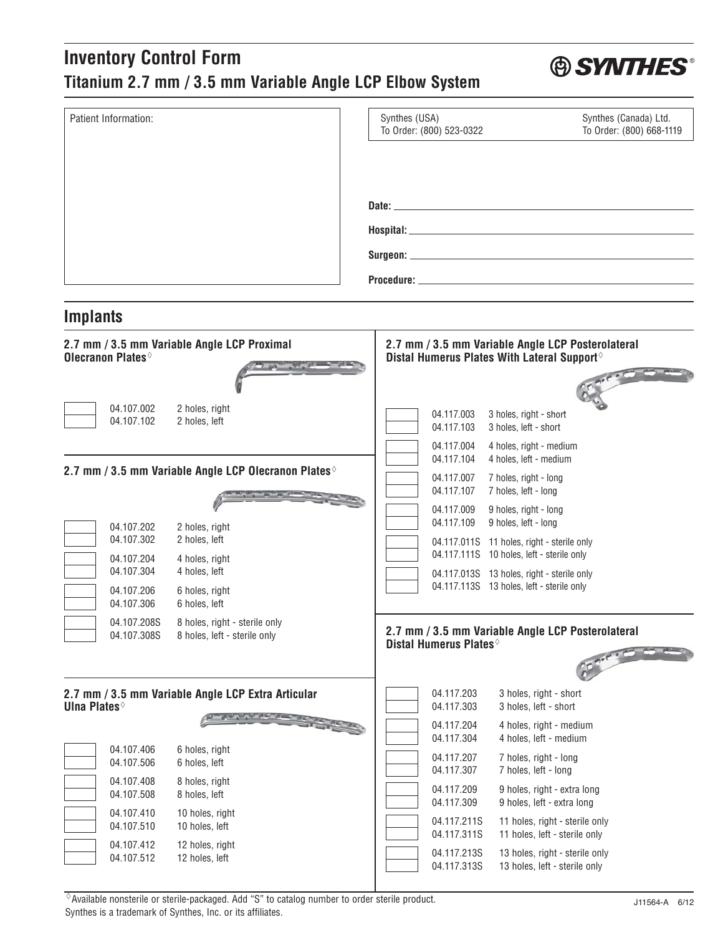## **Inventory Control Form Titanium 2.7 mm / 3.5 mm Variable Angle LCP Elbow System**

| Patient Information:                                                                        | Synthes (USA)<br>Synthes (Canada) Ltd.<br>To Order: (800) 523-0322<br>To Order: (800) 668-1119               |
|---------------------------------------------------------------------------------------------|--------------------------------------------------------------------------------------------------------------|
|                                                                                             |                                                                                                              |
|                                                                                             |                                                                                                              |
|                                                                                             |                                                                                                              |
|                                                                                             |                                                                                                              |
| <b>Implants</b>                                                                             |                                                                                                              |
| 2.7 mm / 3.5 mm Variable Angle LCP Proximal<br>Olecranon Plates                             | 2.7 mm / 3.5 mm Variable Angle LCP Posterolateral<br>Distal Humerus Plates With Lateral Support <sup>®</sup> |
|                                                                                             |                                                                                                              |
| 04.107.002<br>2 holes, right<br>04.107.102<br>2 holes, left                                 | 04.117.003<br>3 holes, right - short<br>3 holes, left - short<br>04.117.103                                  |
|                                                                                             | 04.117.004<br>4 holes, right - medium                                                                        |
| 2.7 mm / 3.5 mm Variable Angle LCP Olecranon Plates $\Diamond$                              | 4 holes, left - medium<br>04.117.104<br>04.117.007<br>7 holes, right - long                                  |
|                                                                                             | 04.117.107<br>7 holes, left - long<br>04.117.009<br>9 holes, right - long                                    |
| 04.107.202<br>2 holes, right                                                                | 04.117.109<br>9 holes, left - long                                                                           |
| 04.107.302<br>2 holes, left<br>04.107.204<br>4 holes, right                                 | 04.117.011S 11 holes, right - sterile only<br>04.117.111S 10 holes, left - sterile only                      |
| 04.107.304<br>4 holes, left                                                                 | 04.117.013S 13 holes, right - sterile only                                                                   |
| 6 holes, right<br>04.107.206<br>6 holes, left<br>04.107.306                                 | 04.117.113S 13 holes, left - sterile only                                                                    |
| 04.107.208S<br>8 holes, right - sterile only<br>04.107.308S<br>8 holes, left - sterile only | 2.7 mm / 3.5 mm Variable Angle LCP Posterolateral<br>Distal Humerus Plates <sup>®</sup>                      |
|                                                                                             |                                                                                                              |
| 2.7 mm / 3.5 mm Variable Angle LCP Extra Articular<br><b>Ulna Plates</b>                    | 04.117.203<br>3 holes, right - short<br>04.117.303<br>3 holes, left - short                                  |
|                                                                                             | 04.117.204<br>4 holes, right - medium<br>4 holes, left - medium<br>04.117.304                                |
| 04.107.406<br>6 holes, right<br>04.107.506<br>6 holes, left                                 | 04.117.207<br>7 holes, right - long<br>04.117.307<br>7 holes, left - long                                    |
| 04.107.408<br>8 holes, right<br>8 holes, left<br>04.107.508                                 | 04.117.209<br>9 holes, right - extra long<br>04.117.309<br>9 holes, left - extra long                        |
| 04.107.410<br>10 holes, right<br>04.107.510<br>10 holes, left                               | 04.117.211S<br>11 holes, right - sterile only<br>04.117.311S<br>11 holes, left - sterile only                |
| 04.107.412<br>12 holes, right<br>04.107.512<br>12 holes, left                               | 04.117.213S<br>13 holes, right - sterile only<br>04.117.313S<br>13 holes, left - sterile only                |

 -Available nonsterile or sterile-packaged. Add "S" to catalog number to order sterile product. Synthes is a trademark of Synthes, Inc. or its affiliates.

**® SYNTHES®**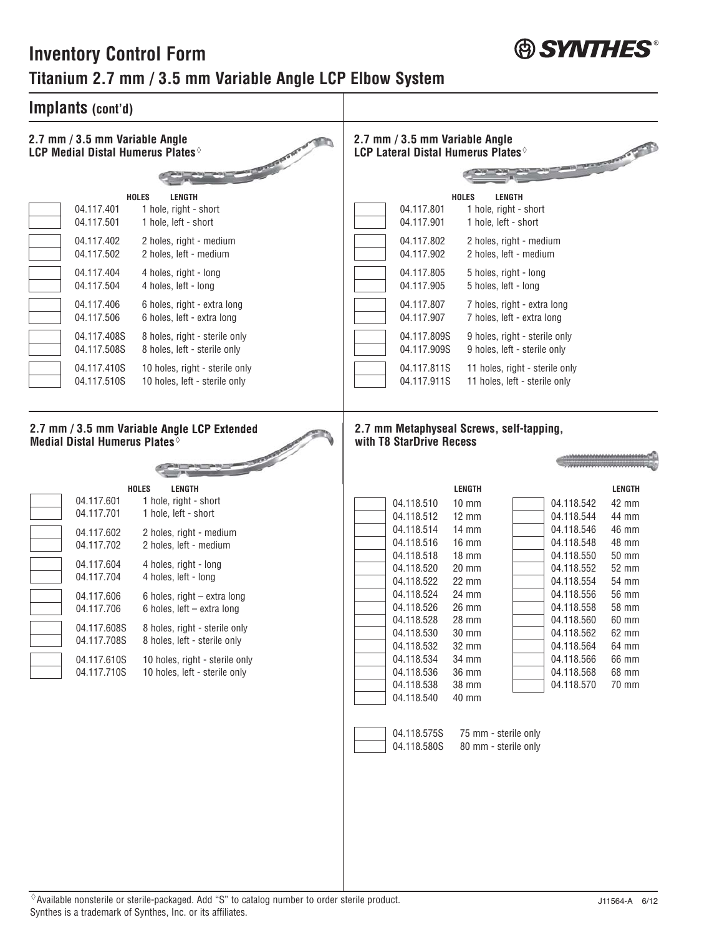## **Inventory Control Form Titanium 2.7 mm / 3.5 mm Variable Angle LCP Elbow System**



 $\Diamond$  Available nonsterile or sterile-packaged. Add "S" to catalog number to order sterile product. Synthes is a trademark of Synthes, Inc. or its affiliates.

**A** SYNTHES